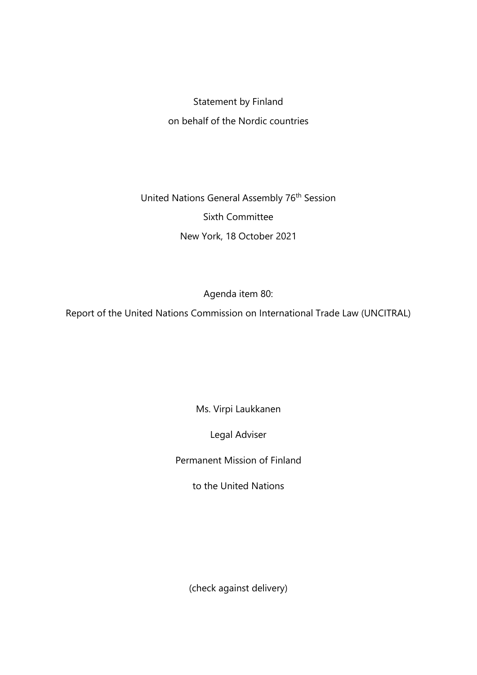## Statement by Finland on behalf of the Nordic countries

United Nations General Assembly 76<sup>th</sup> Session Sixth Committee New York, 18 October 2021

Agenda item 80:

Report of the United Nations Commission on International Trade Law (UNCITRAL)

Ms. Virpi Laukkanen

Legal Adviser

Permanent Mission of Finland

to the United Nations

(check against delivery)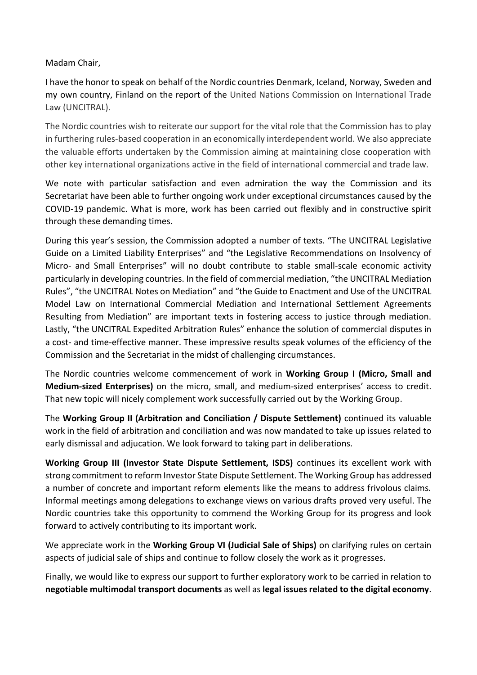## Madam Chair,

I have the honor to speak on behalf of the Nordic countries Denmark, Iceland, Norway, Sweden and my own country, Finland on the report of the United Nations Commission on International Trade Law (UNCITRAL).

The Nordic countries wish to reiterate our support for the vital role that the Commission has to play in furthering rules-based cooperation in an economically interdependent world. We also appreciate the valuable efforts undertaken by the Commission aiming at maintaining close cooperation with other key international organizations active in the field of international commercial and trade law.

We note with particular satisfaction and even admiration the way the Commission and its Secretariat have been able to further ongoing work under exceptional circumstances caused by the COVID-19 pandemic. What is more, work has been carried out flexibly and in constructive spirit through these demanding times.

During this year's session, the Commission adopted a number of texts. "The UNCITRAL Legislative Guide on a Limited Liability Enterprises" and "the Legislative Recommendations on Insolvency of Micro- and Small Enterprises" will no doubt contribute to stable small-scale economic activity particularly in developing countries. In the field of commercial mediation, "the UNCITRAL Mediation Rules", "the UNCITRAL Notes on Mediation" and "the Guide to Enactment and Use of the UNCITRAL Model Law on International Commercial Mediation and International Settlement Agreements Resulting from Mediation" are important texts in fostering access to justice through mediation. Lastly, "the UNCITRAL Expedited Arbitration Rules" enhance the solution of commercial disputes in a cost- and time-effective manner. These impressive results speak volumes of the efficiency of the Commission and the Secretariat in the midst of challenging circumstances.

The Nordic countries welcome commencement of work in **Working Group I (Micro, Small and Medium-sized Enterprises)** on the micro, small, and medium-sized enterprises' access to credit. That new topic will nicely complement work successfully carried out by the Working Group.

The **Working Group II (Arbitration and Conciliation / Dispute Settlement)** continued its valuable work in the field of arbitration and conciliation and was now mandated to take up issues related to early dismissal and adjucation. We look forward to taking part in deliberations.

**Working Group III (Investor State Dispute Settlement, ISDS)** continues its excellent work with strong commitment to reform Investor State Dispute Settlement. The Working Group has addressed a number of concrete and important reform elements like the means to address frivolous claims. Informal meetings among delegations to exchange views on various drafts proved very useful. The Nordic countries take this opportunity to commend the Working Group for its progress and look forward to actively contributing to its important work.

We appreciate work in the **Working Group VI (Judicial Sale of Ships)** on clarifying rules on certain aspects of judicial sale of ships and continue to follow closely the work as it progresses.

Finally, we would like to express our support to further exploratory work to be carried in relation to **negotiable multimodal transport documents** as well as **legal issues related to the digital economy**.